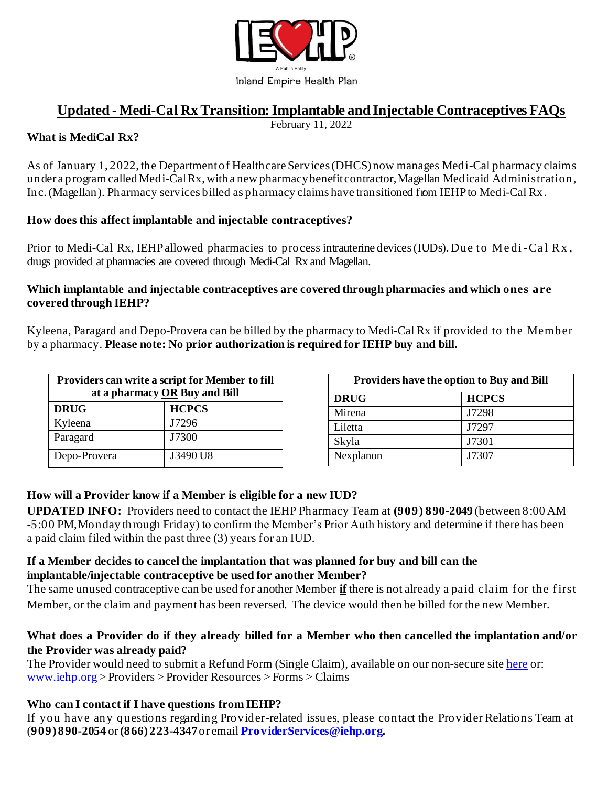

# **Updated - Medi-Cal RxTransition:Implantable and Injectable Contraceptives FAQs**

February 11, 2022

#### **What is MediCal Rx?**

As of January 1, 2022, the Departmentof Healthcare Services(DHCS) now manages Medi-Cal pharmacy claims under a program called Medi-CalRx, with a new pharmacy benefit contractor, Magellan Medicaid Administration, Inc.(Magellan). Pharmacy services billed as pharmacy claims have transitioned from IEHPto Medi-Cal Rx.

#### **How does this affect implantable and injectable contraceptives?**

Prior to Medi-Cal Rx, IEHP allowed pharmacies to process intrauterine devices (IUDs). Due to Medi-Cal Rx, drugs provided at pharmacies are covered through Medi-Cal Rx and Magellan.

#### **Which implantable and injectable contraceptives are covered through pharmacies and which ones are covered through IEHP?**

Kyleena, Paragard and Depo-Provera can be billed by the pharmacy to Medi-Cal Rx if provided to the Member by a pharmacy. **Please note: No prior authorization is required for IEHP buy and bill.**

| Providers can write a script for Member to fill<br>at a pharmacy OR Buy and Bill |              |
|----------------------------------------------------------------------------------|--------------|
| <b>DRUG</b>                                                                      | <b>HCPCS</b> |
| Kyleena                                                                          | J7296        |
| Paragard                                                                         | J7300        |
| Depo-Provera                                                                     | J3490 U8     |

| <b>Providers have the option to Buy and Bill</b> |              |
|--------------------------------------------------|--------------|
| <b>DRUG</b>                                      | <b>HCPCS</b> |
| Mirena                                           | J7298        |
| Liletta                                          | J7297        |
| Skyla                                            | J7301        |
| Nexplanon                                        | J7307        |

### **How will a Provider know if a Member is eligible for a new IUD?**

**UPDATED INFO:** Providers need to contact the IEHP Pharmacy Team at **(909) 890-2049** (between 8:00 AM -5:00 PM, Monday through Friday) to confirm the Member's Prior Auth history and determine if there has been a paid claim filed within the past three (3) years for an IUD.

#### **If a Member decides to cancel the implantation that was planned for buy and bill can the implantable/injectable contraceptive be used for another Member?**

The same unused contraceptive can be used for another Member **if** there is not already a paid claim for the first Member, or the claim and payment has been reversed. The device would then be billed for the new Member.

#### **What does a Provider do if they already billed for a Member who then cancelled the implantation and/or the Provider was already paid?**

The Provider would need to submit a Refund Form (Single Claim), available on our non-secure sit[e here](https://www.iehp.org/en/providers/provider-resources?target=forms#FormsClaims) or: [www.iehp.org](http://www.iehp.org/) > Providers > Provider Resources > Forms > Claims

### **Who can I contact if I have questions from IEHP?**

If you have any questions regarding Provider-related issues, please contact the Provider Relations Team at (**909) 890-2054** or**(866) 223-4347**or email **[ProviderServices@iehp.org](mailto:ProviderServices@iehp.org).**